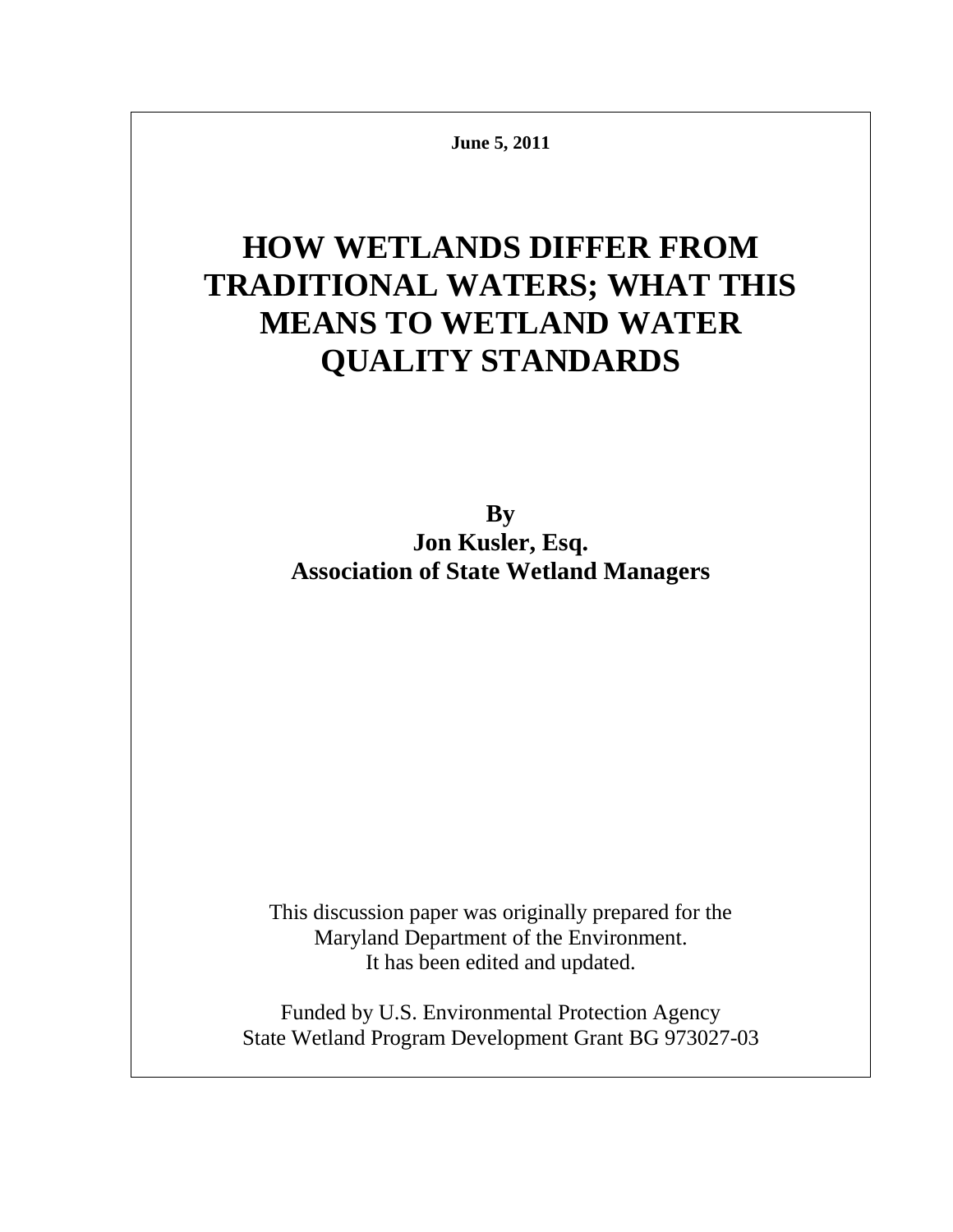**June 5, 2011**

# **HOW WETLANDS DIFFER FROM TRADITIONAL WATERS; WHAT THIS MEANS TO WETLAND WATER QUALITY STANDARDS**

**By Jon Kusler, Esq. Association of State Wetland Managers**

This discussion paper was originally prepared for the Maryland Department of the Environment. It has been edited and updated.

Funded by U.S. Environmental Protection Agency State Wetland Program Development Grant BG 973027-03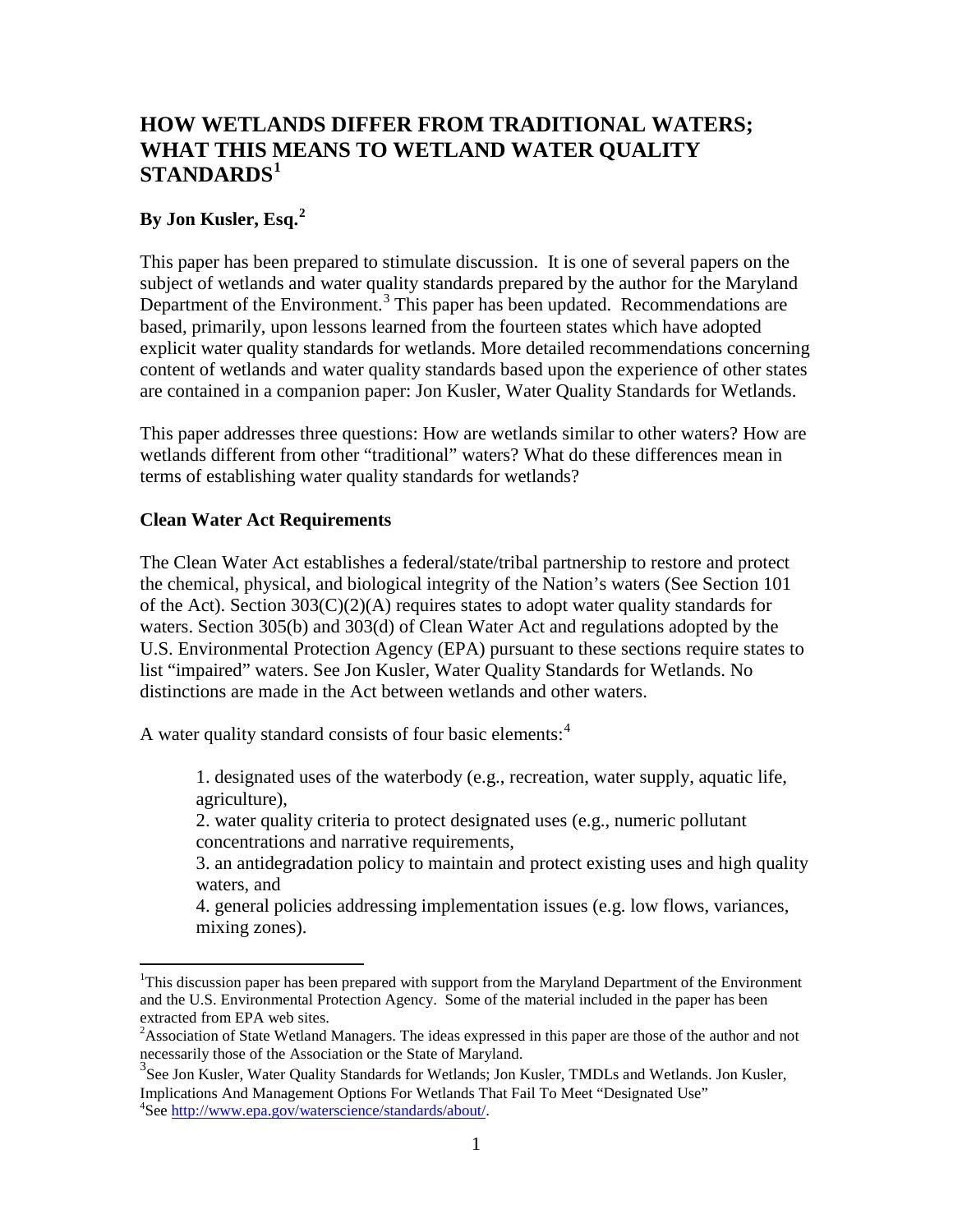# **HOW WETLANDS DIFFER FROM TRADITIONAL WATERS; WHAT THIS MEANS TO WETLAND WATER QUALITY STANDARDS[1](#page-1-0)**

### **By Jon Kusler, Esq.[2](#page-1-1)**

This paper has been prepared to stimulate discussion. It is one of several papers on the subject of wetlands and water quality standards prepared by the author for the Maryland Department of the Environment.<sup>[3](#page-1-2)</sup> This paper has been updated. Recommendations are based, primarily, upon lessons learned from the fourteen states which have adopted explicit water quality standards for wetlands. More detailed recommendations concerning content of wetlands and water quality standards based upon the experience of other states are contained in a companion paper: Jon Kusler, Water Quality Standards for Wetlands.

This paper addresses three questions: How are wetlands similar to other waters? How are wetlands different from other "traditional" waters? What do these differences mean in terms of establishing water quality standards for wetlands?

#### **Clean Water Act Requirements**

The Clean Water Act establishes a federal/state/tribal partnership to restore and protect the chemical, physical, and biological integrity of the Nation's waters (See Section 101 of the Act). Section  $303(C)(2)(A)$  requires states to adopt water quality standards for waters. Section 305(b) and 303(d) of Clean Water Act and regulations adopted by the U.S. Environmental Protection Agency (EPA) pursuant to these sections require states to list "impaired" waters. See Jon Kusler, Water Quality Standards for Wetlands. No distinctions are made in the Act between wetlands and other waters.

A water quality standard consists of four basic elements:<sup>[4](#page-1-3)</sup>

1. designated uses of the waterbody (e.g., recreation, water supply, aquatic life, agriculture),

2. water quality criteria to protect designated uses (e.g., numeric pollutant concentrations and narrative requirements,

3. an antidegradation policy to maintain and protect existing uses and high quality waters, and

4. general policies addressing implementation issues (e.g. low flows, variances, mixing zones).

<span id="page-1-0"></span> $\frac{1}{1}$ <sup>1</sup>This discussion paper has been prepared with support from the Maryland Department of the Environment and the U.S. Environmental Protection Agency. Some of the material included in the paper has been extracted from EPA web sites.

<span id="page-1-1"></span><sup>&</sup>lt;sup>2</sup> Association of State Wetland Managers. The ideas expressed in this paper are those of the author and not necessarily those of the Association or the State of Maryland. 3

<span id="page-1-3"></span><span id="page-1-2"></span><sup>&</sup>lt;sup>3</sup>See Jon Kusler, Water Quality Standards for Wetlands; Jon Kusler, TMDLs and Wetlands. Jon Kusler, Implications And Management Options For Wetlands That Fail To Meet "Designated Use" 4 <sup>4</sup>See http://www.epa.gov/waterscience/standards/about/.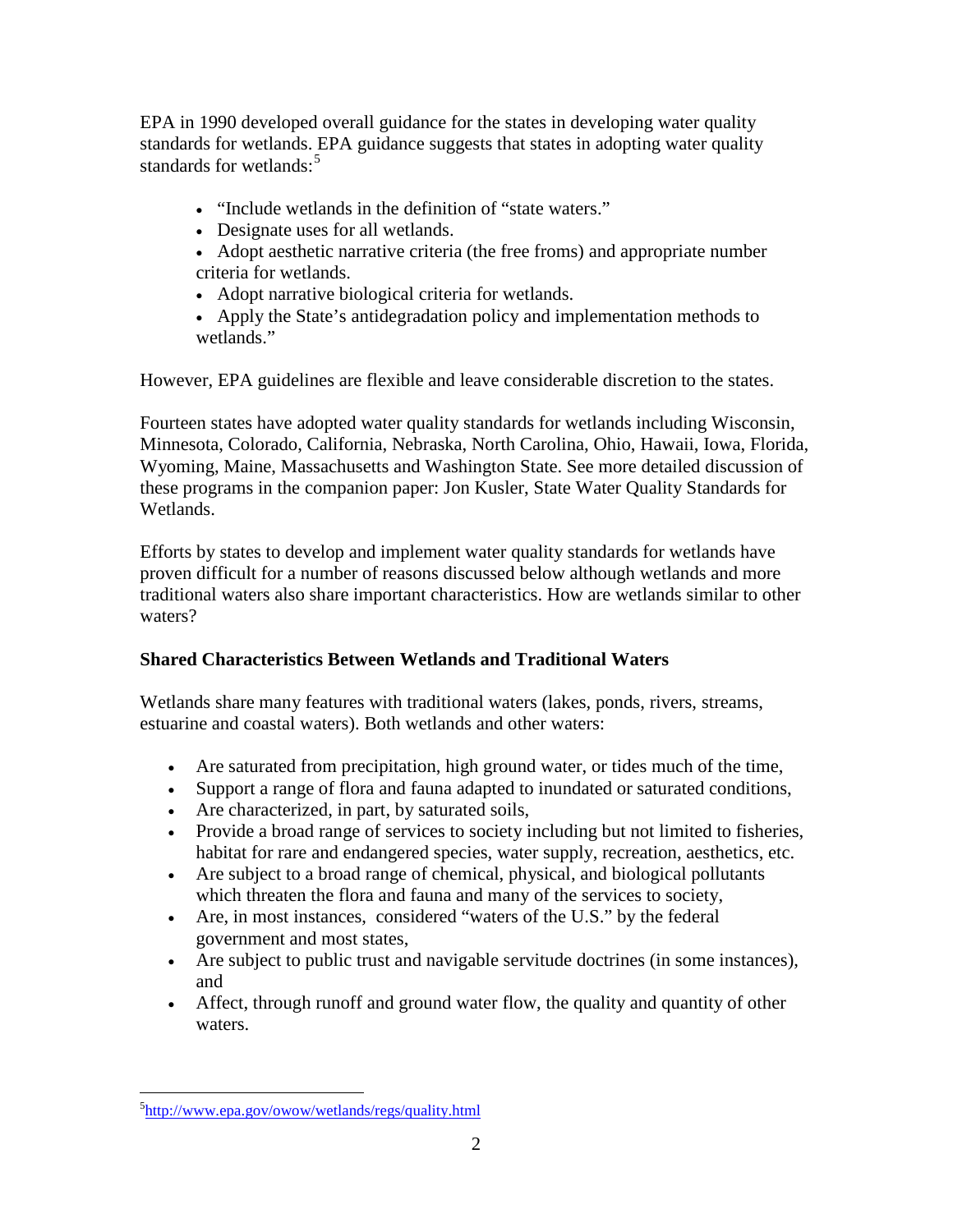EPA in 1990 developed overall guidance for the states in developing water quality standards for wetlands. EPA guidance suggests that states in adopting water quality standards for wetlands: $5$ 

- "Include wetlands in the definition of "state waters."
- Designate uses for all wetlands.
- Adopt aesthetic narrative criteria (the free froms) and appropriate number criteria for wetlands.
- Adopt narrative biological criteria for wetlands.
- Apply the State's antidegradation policy and implementation methods to wetlands."

However, EPA guidelines are flexible and leave considerable discretion to the states.

Fourteen states have adopted water quality standards for wetlands including Wisconsin, Minnesota, Colorado, California, Nebraska, North Carolina, Ohio, Hawaii, Iowa, Florida, Wyoming, Maine, Massachusetts and Washington State. See more detailed discussion of these programs in the companion paper: Jon Kusler, State Water Quality Standards for Wetlands.

Efforts by states to develop and implement water quality standards for wetlands have proven difficult for a number of reasons discussed below although wetlands and more traditional waters also share important characteristics. How are wetlands similar to other waters?

## **Shared Characteristics Between Wetlands and Traditional Waters**

Wetlands share many features with traditional waters (lakes, ponds, rivers, streams, estuarine and coastal waters). Both wetlands and other waters:

- Are saturated from precipitation, high ground water, or tides much of the time,
- Support a range of flora and fauna adapted to inundated or saturated conditions,
- Are characterized, in part, by saturated soils,
- Provide a broad range of services to society including but not limited to fisheries, habitat for rare and endangered species, water supply, recreation, aesthetics, etc.
- Are subject to a broad range of chemical, physical, and biological pollutants which threaten the flora and fauna and many of the services to society,
- Are, in most instances, considered "waters of the U.S." by the federal government and most states,
- Are subject to public trust and navigable servitude doctrines (in some instances), and
- Affect, through runoff and ground water flow, the quality and quantity of other waters.

<span id="page-2-0"></span> $\frac{1}{5}$ <sup>5</sup><http://www.epa.gov/owow/wetlands/regs/quality.html>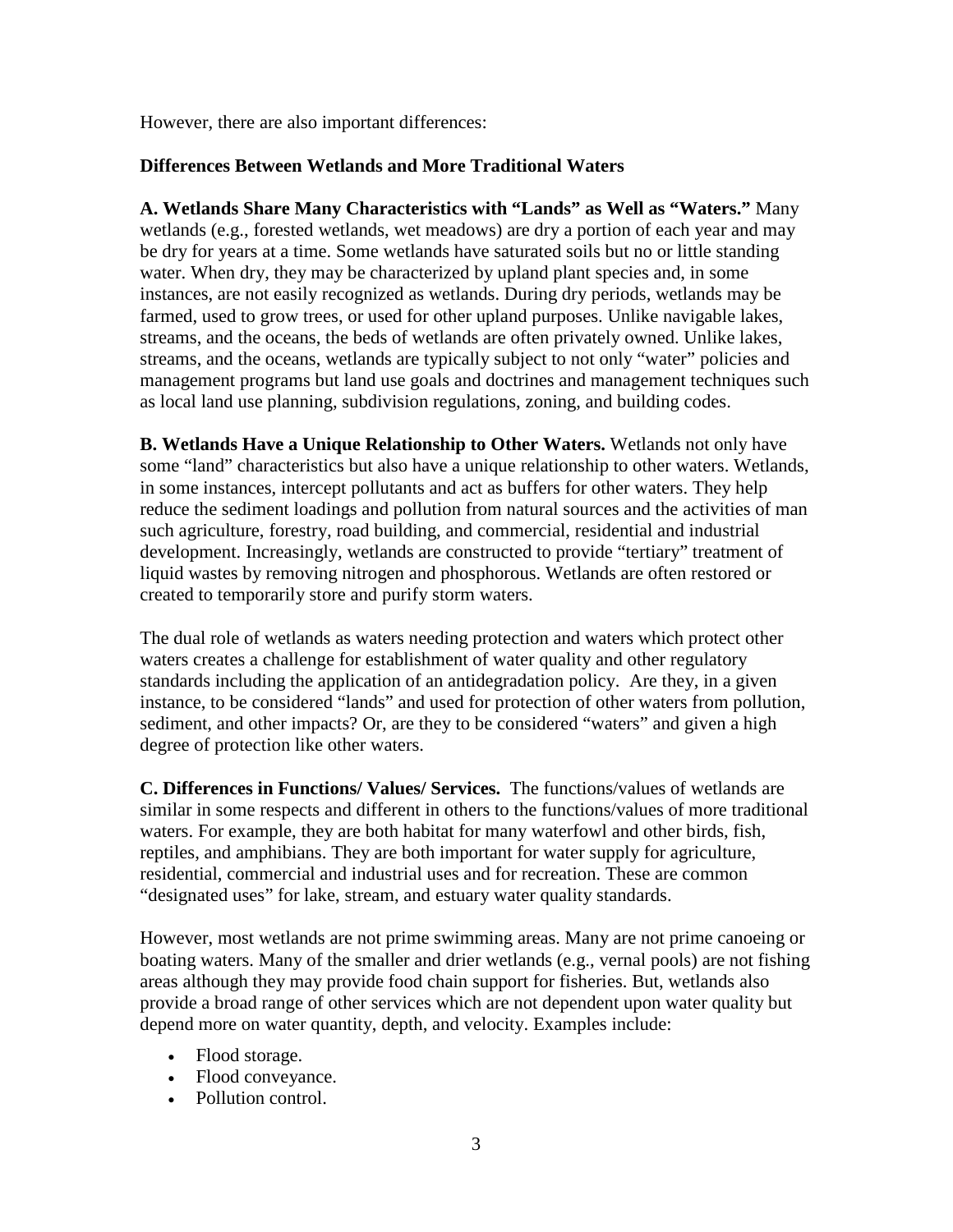However, there are also important differences:

#### **Differences Between Wetlands and More Traditional Waters**

**A. Wetlands Share Many Characteristics with "Lands" as Well as "Waters."** Many wetlands (e.g., forested wetlands, wet meadows) are dry a portion of each year and may be dry for years at a time. Some wetlands have saturated soils but no or little standing water. When dry, they may be characterized by upland plant species and, in some instances, are not easily recognized as wetlands. During dry periods, wetlands may be farmed, used to grow trees, or used for other upland purposes. Unlike navigable lakes, streams, and the oceans, the beds of wetlands are often privately owned. Unlike lakes, streams, and the oceans, wetlands are typically subject to not only "water" policies and management programs but land use goals and doctrines and management techniques such as local land use planning, subdivision regulations, zoning, and building codes.

**B. Wetlands Have a Unique Relationship to Other Waters.** Wetlands not only have some "land" characteristics but also have a unique relationship to other waters. Wetlands, in some instances, intercept pollutants and act as buffers for other waters. They help reduce the sediment loadings and pollution from natural sources and the activities of man such agriculture, forestry, road building, and commercial, residential and industrial development. Increasingly, wetlands are constructed to provide "tertiary" treatment of liquid wastes by removing nitrogen and phosphorous. Wetlands are often restored or created to temporarily store and purify storm waters.

The dual role of wetlands as waters needing protection and waters which protect other waters creates a challenge for establishment of water quality and other regulatory standards including the application of an antidegradation policy. Are they, in a given instance, to be considered "lands" and used for protection of other waters from pollution, sediment, and other impacts? Or, are they to be considered "waters" and given a high degree of protection like other waters.

**C. Differences in Functions/ Values/ Services.** The functions/values of wetlands are similar in some respects and different in others to the functions/values of more traditional waters. For example, they are both habitat for many waterfowl and other birds, fish, reptiles, and amphibians. They are both important for water supply for agriculture, residential, commercial and industrial uses and for recreation. These are common "designated uses" for lake, stream, and estuary water quality standards.

However, most wetlands are not prime swimming areas. Many are not prime canoeing or boating waters. Many of the smaller and drier wetlands (e.g., vernal pools) are not fishing areas although they may provide food chain support for fisheries. But, wetlands also provide a broad range of other services which are not dependent upon water quality but depend more on water quantity, depth, and velocity. Examples include:

- Flood storage.
- Flood conveyance.
- Pollution control.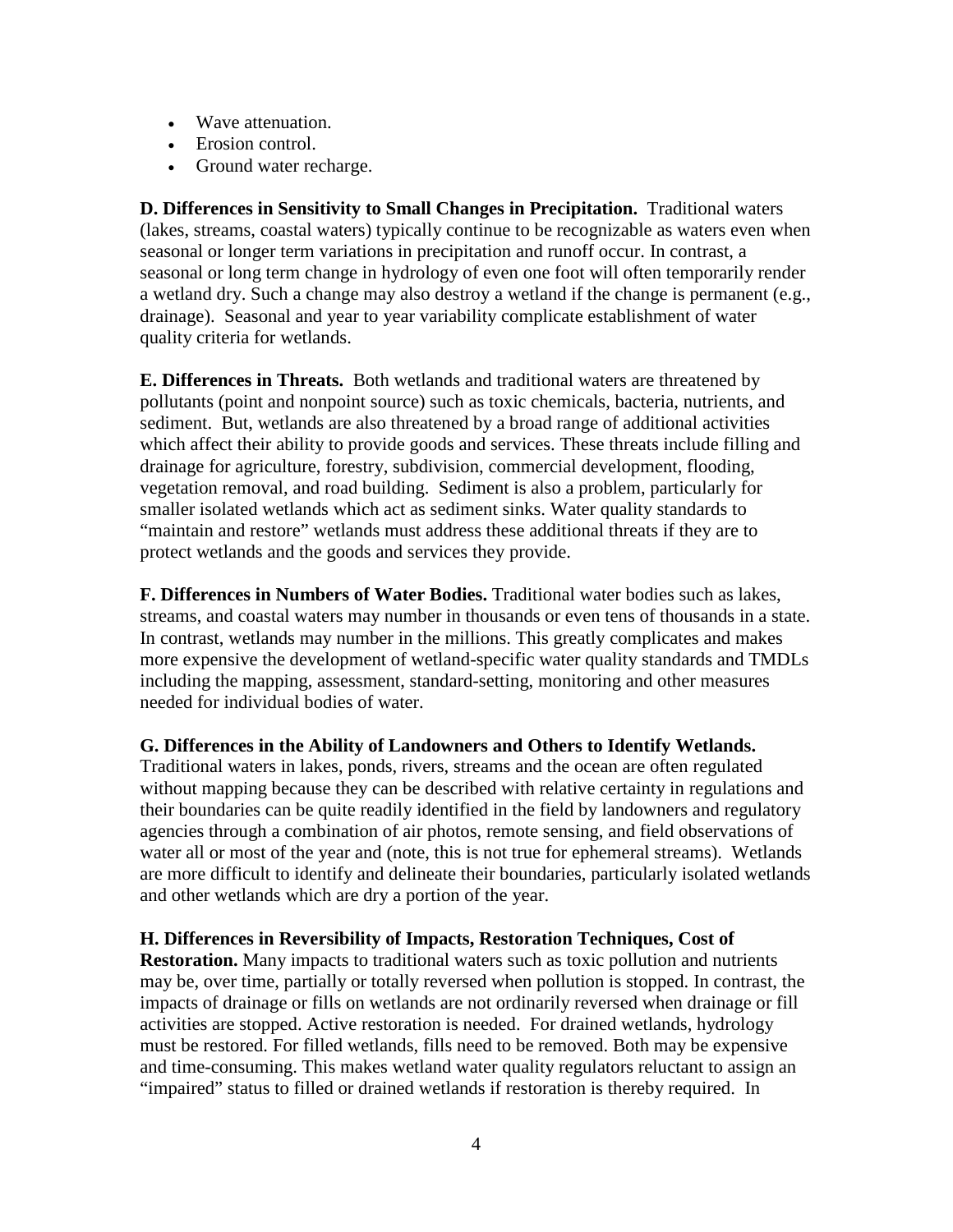- Wave attenuation.
- Erosion control.
- Ground water recharge.

**D. Differences in Sensitivity to Small Changes in Precipitation.** Traditional waters (lakes, streams, coastal waters) typically continue to be recognizable as waters even when seasonal or longer term variations in precipitation and runoff occur. In contrast, a seasonal or long term change in hydrology of even one foot will often temporarily render a wetland dry. Such a change may also destroy a wetland if the change is permanent (e.g., drainage). Seasonal and year to year variability complicate establishment of water quality criteria for wetlands.

**E. Differences in Threats.** Both wetlands and traditional waters are threatened by pollutants (point and nonpoint source) such as toxic chemicals, bacteria, nutrients, and sediment. But, wetlands are also threatened by a broad range of additional activities which affect their ability to provide goods and services. These threats include filling and drainage for agriculture, forestry, subdivision, commercial development, flooding, vegetation removal, and road building. Sediment is also a problem, particularly for smaller isolated wetlands which act as sediment sinks. Water quality standards to "maintain and restore" wetlands must address these additional threats if they are to protect wetlands and the goods and services they provide.

**F. Differences in Numbers of Water Bodies.** Traditional water bodies such as lakes, streams, and coastal waters may number in thousands or even tens of thousands in a state. In contrast, wetlands may number in the millions. This greatly complicates and makes more expensive the development of wetland-specific water quality standards and TMDLs including the mapping, assessment, standard-setting, monitoring and other measures needed for individual bodies of water.

#### **G. Differences in the Ability of Landowners and Others to Identify Wetlands.**

Traditional waters in lakes, ponds, rivers, streams and the ocean are often regulated without mapping because they can be described with relative certainty in regulations and their boundaries can be quite readily identified in the field by landowners and regulatory agencies through a combination of air photos, remote sensing, and field observations of water all or most of the year and (note, this is not true for ephemeral streams). Wetlands are more difficult to identify and delineate their boundaries, particularly isolated wetlands and other wetlands which are dry a portion of the year.

#### **H. Differences in Reversibility of Impacts, Restoration Techniques, Cost of**

**Restoration.** Many impacts to traditional waters such as toxic pollution and nutrients may be, over time, partially or totally reversed when pollution is stopped. In contrast, the impacts of drainage or fills on wetlands are not ordinarily reversed when drainage or fill activities are stopped. Active restoration is needed. For drained wetlands, hydrology must be restored. For filled wetlands, fills need to be removed. Both may be expensive and time-consuming. This makes wetland water quality regulators reluctant to assign an "impaired" status to filled or drained wetlands if restoration is thereby required. In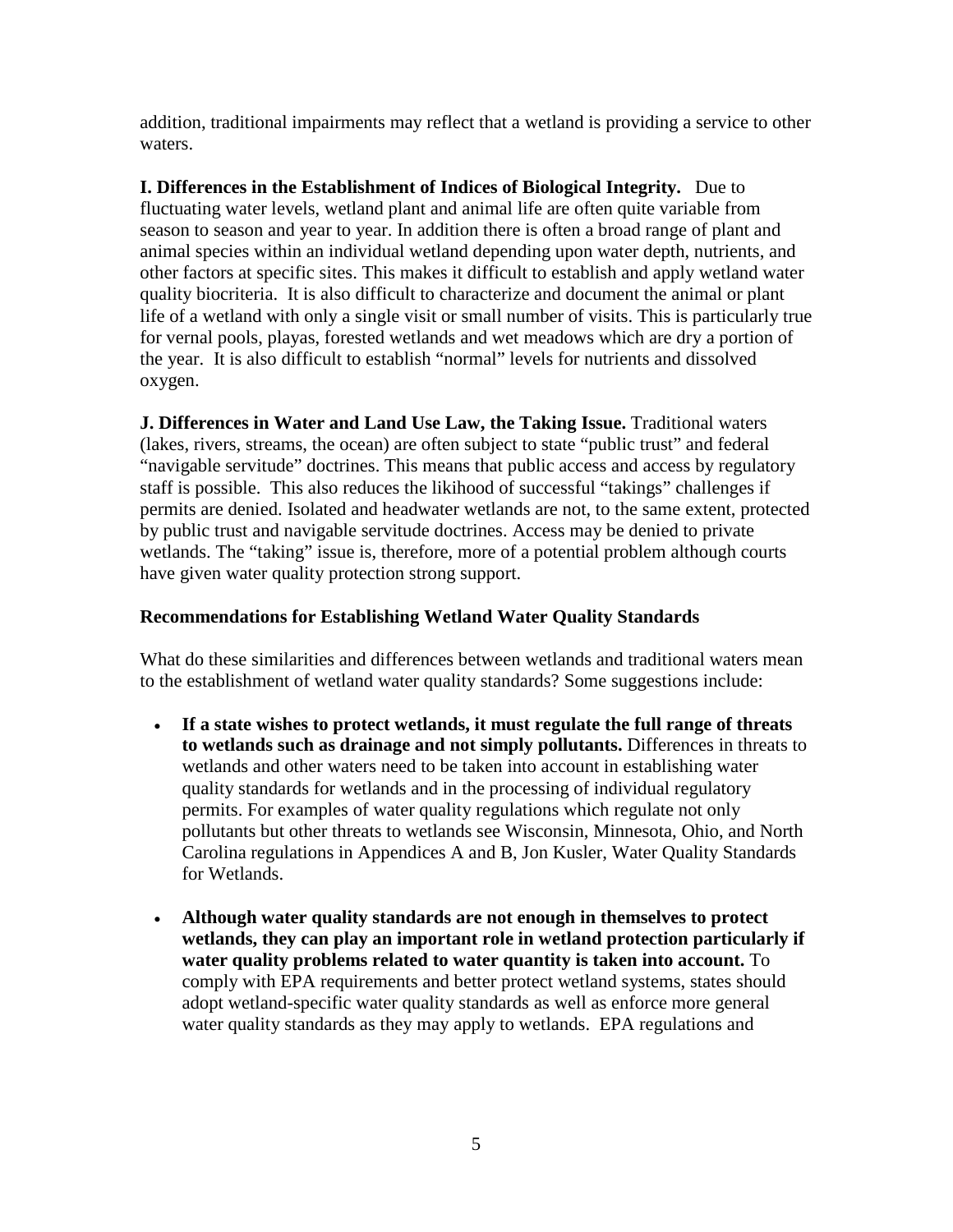addition, traditional impairments may reflect that a wetland is providing a service to other waters.

**I. Differences in the Establishment of Indices of Biological Integrity.** Due to fluctuating water levels, wetland plant and animal life are often quite variable from season to season and year to year. In addition there is often a broad range of plant and animal species within an individual wetland depending upon water depth, nutrients, and other factors at specific sites. This makes it difficult to establish and apply wetland water quality biocriteria. It is also difficult to characterize and document the animal or plant life of a wetland with only a single visit or small number of visits. This is particularly true for vernal pools, playas, forested wetlands and wet meadows which are dry a portion of the year. It is also difficult to establish "normal" levels for nutrients and dissolved oxygen.

**J. Differences in Water and Land Use Law, the Taking Issue.** Traditional waters (lakes, rivers, streams, the ocean) are often subject to state "public trust" and federal "navigable servitude" doctrines. This means that public access and access by regulatory staff is possible. This also reduces the likihood of successful "takings" challenges if permits are denied. Isolated and headwater wetlands are not, to the same extent, protected by public trust and navigable servitude doctrines. Access may be denied to private wetlands. The "taking" issue is, therefore, more of a potential problem although courts have given water quality protection strong support.

#### **Recommendations for Establishing Wetland Water Quality Standards**

What do these similarities and differences between wetlands and traditional waters mean to the establishment of wetland water quality standards? Some suggestions include:

- **If a state wishes to protect wetlands, it must regulate the full range of threats to wetlands such as drainage and not simply pollutants.** Differences in threats to wetlands and other waters need to be taken into account in establishing water quality standards for wetlands and in the processing of individual regulatory permits. For examples of water quality regulations which regulate not only pollutants but other threats to wetlands see Wisconsin, Minnesota, Ohio, and North Carolina regulations in Appendices A and B, Jon Kusler, Water Quality Standards for Wetlands.
- **Although water quality standards are not enough in themselves to protect wetlands, they can play an important role in wetland protection particularly if water quality problems related to water quantity is taken into account.** To comply with EPA requirements and better protect wetland systems, states should adopt wetland-specific water quality standards as well as enforce more general water quality standards as they may apply to wetlands.EPA regulations and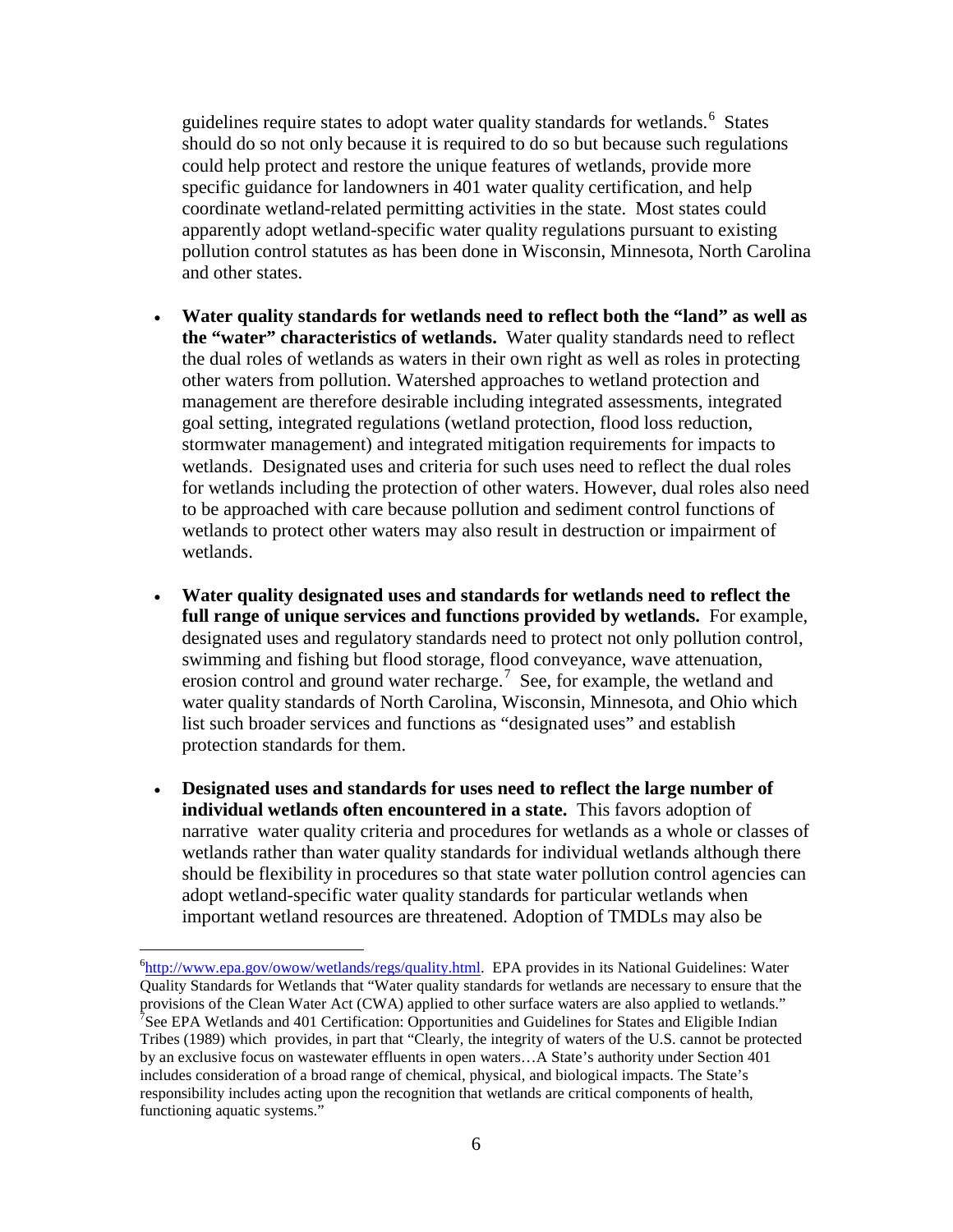guidelines require states to adopt water quality standards for wetlands.<sup>[6](#page-6-0)</sup> States should do so not only because it is required to do so but because such regulations could help protect and restore the unique features of wetlands, provide more specific guidance for landowners in 401 water quality certification, and help coordinate wetland-related permitting activities in the state. Most states could apparently adopt wetland-specific water quality regulations pursuant to existing pollution control statutes as has been done in Wisconsin, Minnesota, North Carolina and other states.

- **Water quality standards for wetlands need to reflect both the "land" as well as the "water" characteristics of wetlands.** Water quality standards need to reflect the dual roles of wetlands as waters in their own right as well as roles in protecting other waters from pollution. Watershed approaches to wetland protection and management are therefore desirable including integrated assessments, integrated goal setting, integrated regulations (wetland protection, flood loss reduction, stormwater management) and integrated mitigation requirements for impacts to wetlands. Designated uses and criteria for such uses need to reflect the dual roles for wetlands including the protection of other waters. However, dual roles also need to be approached with care because pollution and sediment control functions of wetlands to protect other waters may also result in destruction or impairment of wetlands.
- **Water quality designated uses and standards for wetlands need to reflect the full range of unique services and functions provided by wetlands.** For example, designated uses and regulatory standards need to protect not only pollution control, swimming and fishing but flood storage, flood conveyance, wave attenuation, erosion control and ground water recharge.<sup>[7](#page-6-1)</sup> See, for example, the wetland and water quality standards of North Carolina, Wisconsin, Minnesota, and Ohio which list such broader services and functions as "designated uses" and establish protection standards for them.
- **Designated uses and standards for uses need to reflect the large number of individual wetlands often encountered in a state.** This favors adoption of narrative water quality criteria and procedures for wetlands as a whole or classes of wetlands rather than water quality standards for individual wetlands although there should be flexibility in procedures so that state water pollution control agencies can adopt wetland-specific water quality standards for particular wetlands when important wetland resources are threatened. Adoption of TMDLs may also be

<span id="page-6-1"></span><span id="page-6-0"></span> <sup>6</sup> <sup>6</sup>[http://www.epa.gov/owow/wetlands/regs/quality.html.](http://www.epa.gov/owow/wetlands/regs/quality.html) EPA provides in its National Guidelines: Water Quality Standards for Wetlands that "Water quality standards for wetlands are necessary to ensure that the provisions of the Clean Water Act (CWA) applied to other surface waters are also applied to wetlands." <sup>7</sup>See EPA Wetlands and 401 Certification: Opportunities and Guidelines for States and Eligible Indian Tribes (1989) which provides, in part that "Clearly, the integrity of waters of the U.S. cannot be protected by an exclusive focus on wastewater effluents in open waters…A State's authority under Section 401 includes consideration of a broad range of chemical, physical, and biological impacts. The State's responsibility includes acting upon the recognition that wetlands are critical components of health, functioning aquatic systems."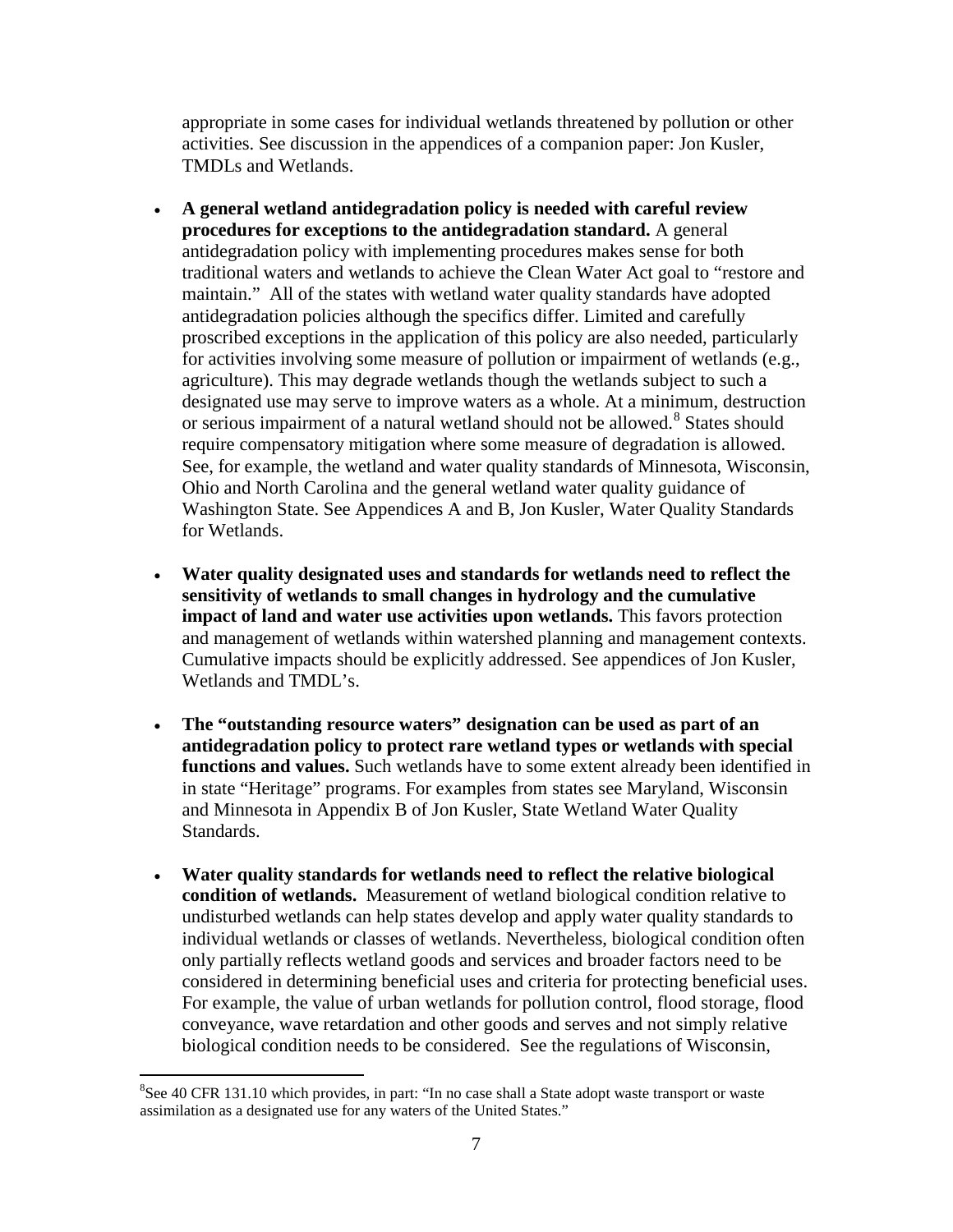appropriate in some cases for individual wetlands threatened by pollution or other activities. See discussion in the appendices of a companion paper: Jon Kusler, TMDLs and Wetlands.

- **A general wetland antidegradation policy is needed with careful review procedures for exceptions to the antidegradation standard.** A general antidegradation policy with implementing procedures makes sense for both traditional waters and wetlands to achieve the Clean Water Act goal to "restore and maintain." All of the states with wetland water quality standards have adopted antidegradation policies although the specifics differ. Limited and carefully proscribed exceptions in the application of this policy are also needed, particularly for activities involving some measure of pollution or impairment of wetlands (e.g., agriculture). This may degrade wetlands though the wetlands subject to such a designated use may serve to improve waters as a whole. At a minimum, destruction or serious impairment of a natural wetland should not be allowed. [8](#page-7-0) States should require compensatory mitigation where some measure of degradation is allowed. See, for example, the wetland and water quality standards of Minnesota, Wisconsin, Ohio and North Carolina and the general wetland water quality guidance of Washington State. See Appendices A and B, Jon Kusler, Water Quality Standards for Wetlands.
- **Water quality designated uses and standards for wetlands need to reflect the sensitivity of wetlands to small changes in hydrology and the cumulative impact of land and water use activities upon wetlands.** This favors protection and management of wetlands within watershed planning and management contexts. Cumulative impacts should be explicitly addressed. See appendices of Jon Kusler, Wetlands and TMDL's.
- **The "outstanding resource waters" designation can be used as part of an antidegradation policy to protect rare wetland types or wetlands with special functions and values.** Such wetlands have to some extent already been identified in in state "Heritage" programs. For examples from states see Maryland, Wisconsin and Minnesota in Appendix B of Jon Kusler, State Wetland Water Quality Standards.
- **Water quality standards for wetlands need to reflect the relative biological condition of wetlands.** Measurement of wetland biological condition relative to undisturbed wetlands can help states develop and apply water quality standards to individual wetlands or classes of wetlands. Nevertheless, biological condition often only partially reflects wetland goods and services and broader factors need to be considered in determining beneficial uses and criteria for protecting beneficial uses. For example, the value of urban wetlands for pollution control, flood storage, flood conveyance, wave retardation and other goods and serves and not simply relative biological condition needs to be considered. See the regulations of Wisconsin,

<span id="page-7-0"></span> <sup>8</sup>  ${}^{8}$ See 40 CFR 131.10 which provides, in part: "In no case shall a State adopt waste transport or waste assimilation as a designated use for any waters of the United States."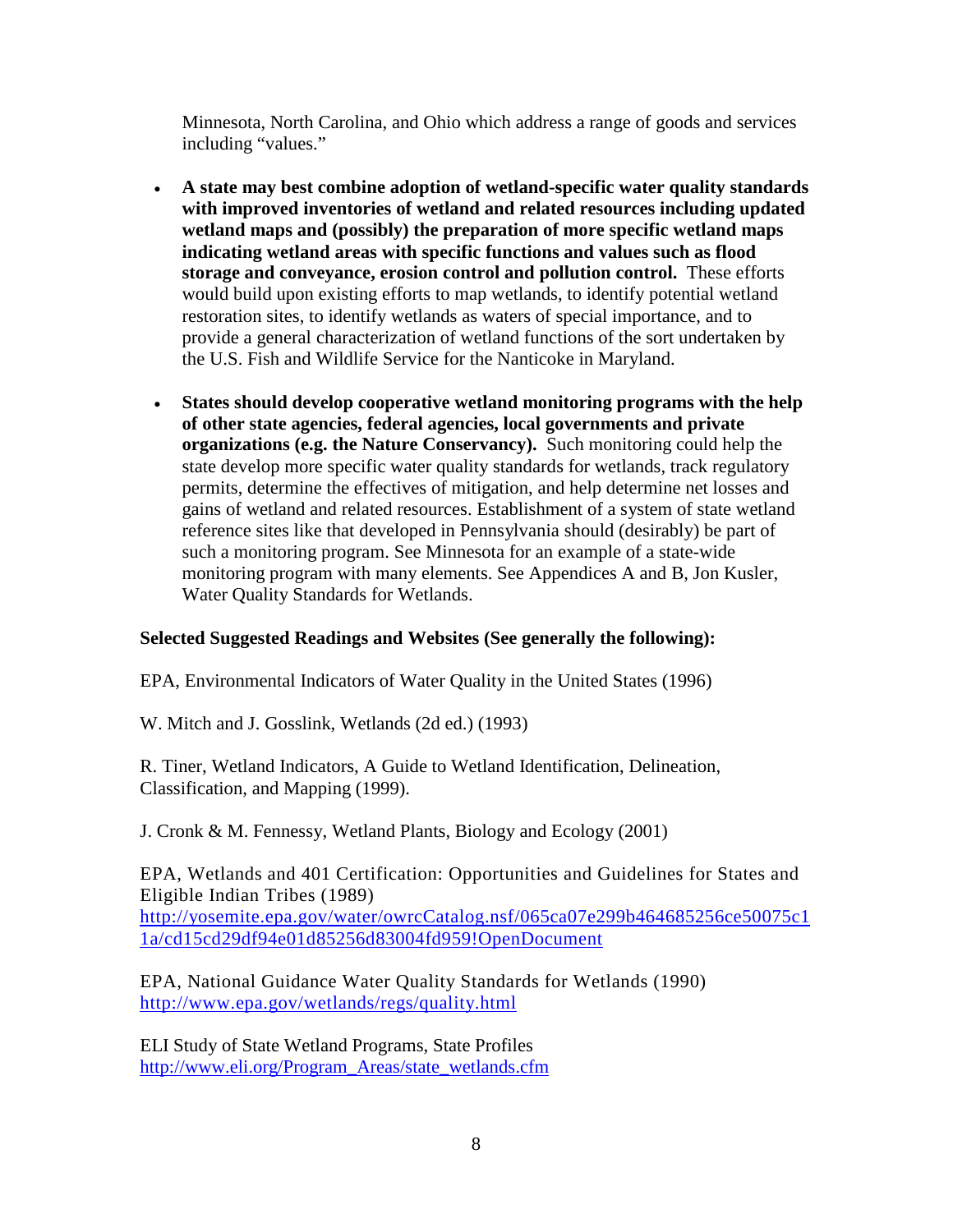Minnesota, North Carolina, and Ohio which address a range of goods and services including "values."

- **A state may best combine adoption of wetland-specific water quality standards with improved inventories of wetland and related resources including updated wetland maps and (possibly) the preparation of more specific wetland maps indicating wetland areas with specific functions and values such as flood storage and conveyance, erosion control and pollution control.** These efforts would build upon existing efforts to map wetlands, to identify potential wetland restoration sites, to identify wetlands as waters of special importance, and to provide a general characterization of wetland functions of the sort undertaken by the U.S. Fish and Wildlife Service for the Nanticoke in Maryland.
- **States should develop cooperative wetland monitoring programs with the help of other state agencies, federal agencies, local governments and private organizations (e.g. the Nature Conservancy).** Such monitoring could help the state develop more specific water quality standards for wetlands, track regulatory permits, determine the effectives of mitigation, and help determine net losses and gains of wetland and related resources. Establishment of a system of state wetland reference sites like that developed in Pennsylvania should (desirably) be part of such a monitoring program. See Minnesota for an example of a state-wide monitoring program with many elements. See Appendices A and B, Jon Kusler, Water Quality Standards for Wetlands.

#### **Selected Suggested Readings and Websites (See generally the following):**

EPA, Environmental Indicators of Water Quality in the United States (1996)

W. Mitch and J. Gosslink, Wetlands (2d ed.) (1993)

R. Tiner, Wetland Indicators, A Guide to Wetland Identification, Delineation, Classification, and Mapping (1999).

J. Cronk & M. Fennessy, Wetland Plants, Biology and Ecology (2001)

EPA, Wetlands and 401 Certification: Opportunities and Guidelines for States and Eligible Indian Tribes (1989) [http://yosemite.epa.gov/water/owrcCatalog.nsf/065ca07e299b464685256ce50075c1](http://yosemite.epa.gov/water/owrcCatalog.nsf/065ca07e299b464685256ce50075c11a/cd15cd29df94e01d85256d83004fd959!OpenDocument) [1a/cd15cd29df94e01d85256d83004fd959!OpenDocument](http://yosemite.epa.gov/water/owrcCatalog.nsf/065ca07e299b464685256ce50075c11a/cd15cd29df94e01d85256d83004fd959!OpenDocument)

EPA, National Guidance Water Quality Standards for Wetlands (1990) <http://www.epa.gov/wetlands/regs/quality.html>

ELI Study of State Wetland Programs, State Profiles [http://www.eli.org/Program\\_Areas/state\\_wetlands.cfm](http://www.eli.org/Program_Areas/state_wetlands.cfm)